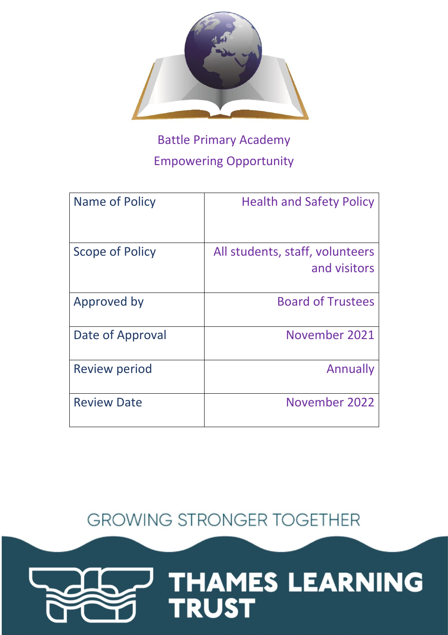

# Battle Primary Academy Empowering Opportunity

| Name of Policy       | <b>Health and Safety Policy</b>                 |
|----------------------|-------------------------------------------------|
| Scope of Policy      | All students, staff, volunteers<br>and visitors |
| Approved by          | <b>Board of Trustees</b>                        |
| Date of Approval     | November 2021                                   |
| <b>Review period</b> | Annually                                        |
| <b>Review Date</b>   | November 2022                                   |

**GROWING STRONGER TOGETHER** 

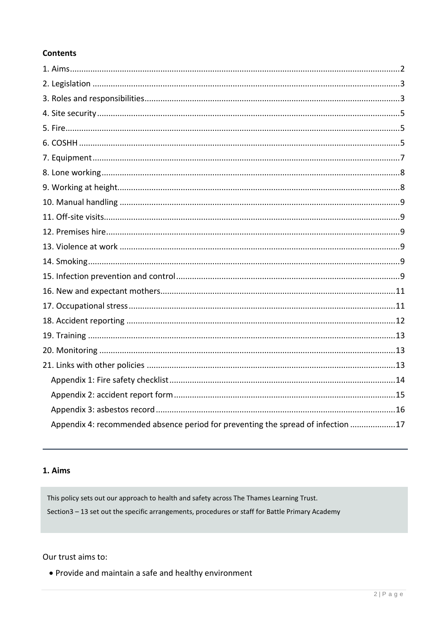## **Contents**

| Appendix 4: recommended absence period for preventing the spread of infection 17 |
|----------------------------------------------------------------------------------|

## <span id="page-1-0"></span>1. Aims

This policy sets out our approach to health and safety across The Thames Learning Trust. Section3 - 13 set out the specific arrangements, procedures or staff for Battle Primary Academy

#### Our trust aims to:

• Provide and maintain a safe and healthy environment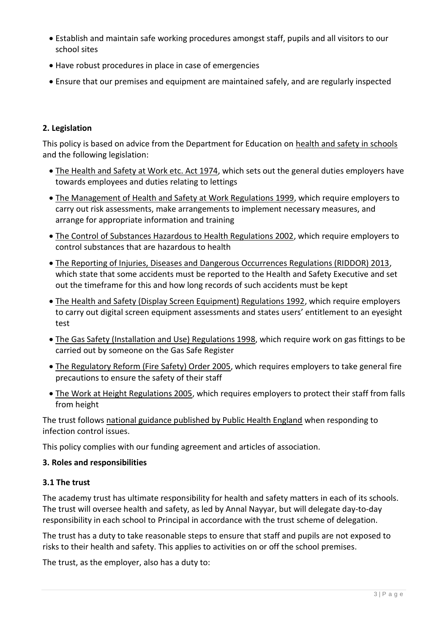- Establish and maintain safe working procedures amongst staff, pupils and all visitors to our school sites
- Have robust procedures in place in case of emergencies
- <span id="page-2-0"></span>Ensure that our premises and equipment are maintained safely, and are regularly inspected

## **2. Legislation**

This policy is based on advice from the Department for Education on [health and safety in schools](https://www.gov.uk/government/publications/health-and-safety-advice-for-schools) and the following legislation:

- [The Health and Safety at Work etc. Act 1974,](http://www.legislation.gov.uk/ukpga/1974/37) which sets out the general duties employers have towards employees and duties relating to lettings
- [The Management of Health and Safety at Work Regulations 1999,](http://www.legislation.gov.uk/uksi/1999/3242/contents/made) which require employers to carry out risk assessments, make arrangements to implement necessary measures, and arrange for appropriate information and training
- [The Control of Substances Hazardous to Health Regulations 2002,](http://www.legislation.gov.uk/uksi/2002/2677/contents/made) which require employers to control substances that are hazardous to health
- [The Reporting of Injuries, Diseases and Dangerous Occurrences Regulations \(RIDDOR\) 2013,](http://www.legislation.gov.uk/uksi/2013/1471/schedule/1/paragraph/1/made) which state that some accidents must be reported to the Health and Safety Executive and set out the timeframe for this and how long records of such accidents must be kept
- [The Health and Safety \(Display Screen Equipment\) Regulations 1992,](http://www.legislation.gov.uk/uksi/1992/2792/contents/made) which require employers to carry out digital screen equipment assessments and states users' entitlement to an eyesight test
- [The Gas Safety \(Installation and Use\) Regulations 1998,](http://www.legislation.gov.uk/uksi/1998/2451/regulation/4/made) which require work on gas fittings to be carried out by someone on the Gas Safe Register
- [The Regulatory Reform \(Fire Safety\) Order 2005,](http://www.legislation.gov.uk/uksi/2005/1541/part/2/made) which requires employers to take general fire precautions to ensure the safety of their staff
- [The Work at Height Regulations 2005,](http://www.legislation.gov.uk/uksi/2005/735/contents/made) which requires employers to protect their staff from falls from height

The trust follows [national guidance published by Public Health England](https://www.gov.uk/government/publications/health-protection-in-schools-and-other-childcare-facilities/chapter-9-managing-specific-infectious-diseases) when responding to infection control issues.

This policy complies with our funding agreement and articles of association.

## <span id="page-2-1"></span>**3. Roles and responsibilities**

## **3.1 The trust**

The academy trust has ultimate responsibility for health and safety matters in each of its schools. The trust will oversee health and safety, as led by Annal Nayyar, but will delegate day-to-day responsibility in each school to Principal in accordance with the trust scheme of delegation.

The trust has a duty to take reasonable steps to ensure that staff and pupils are not exposed to risks to their health and safety. This applies to activities on or off the school premises.

The trust, as the employer, also has a duty to: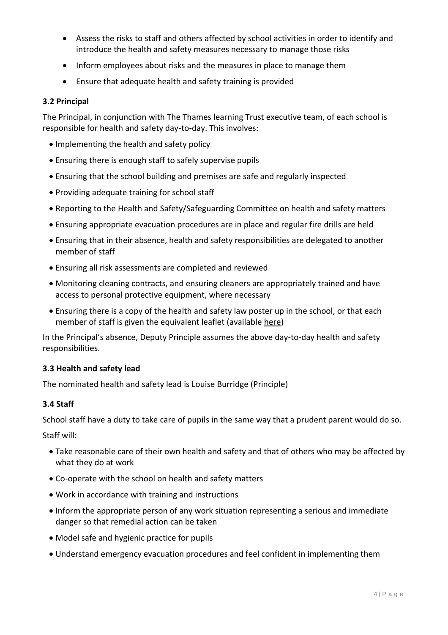- Assess the risks to staff and others affected by school activities in order to identify and introduce the health and safety measures necessary to manage those risks
- Inform employees about risks and the measures in place to manage them
- Ensure that adequate health and safety training is provided

## **3.2 Principal**

The Principal, in conjunction with The Thames learning Trust executive team, of each school is responsible for health and safety day-to-day. This involves:

- Implementing the health and safety policy
- Ensuring there is enough staff to safely supervise pupils
- Ensuring that the school building and premises are safe and regularly inspected
- Providing adequate training for school staff
- Reporting to the Health and Safety/Safeguarding Committee on health and safety matters
- Ensuring appropriate evacuation procedures are in place and regular fire drills are held
- Ensuring that in their absence, health and safety responsibilities are delegated to another member of staff
- Ensuring all risk assessments are completed and reviewed
- Monitoring cleaning contracts, and ensuring cleaners are appropriately trained and have access to personal protective equipment, where necessary
- Ensuring there is a copy of the health and safety law poster up in the school, or that each member of staff is given the equivalent leaflet (available [here\)](http://www.hse.gov.uk/pubns/books/lawposter.htm)

In the Principal's absence, Deputy Principle assumes the above day-to-day health and safety responsibilities.

## **3.3 Health and safety lead**

The nominated health and safety lead is Louise Burridge (Principle)

## **3.4 Staff**

School staff have a duty to take care of pupils in the same way that a prudent parent would do so. Staff will:

- Take reasonable care of their own health and safety and that of others who may be affected by what they do at work
- Co-operate with the school on health and safety matters
- Work in accordance with training and instructions
- Inform the appropriate person of any work situation representing a serious and immediate danger so that remedial action can be taken
- Model safe and hygienic practice for pupils
- Understand emergency evacuation procedures and feel confident in implementing them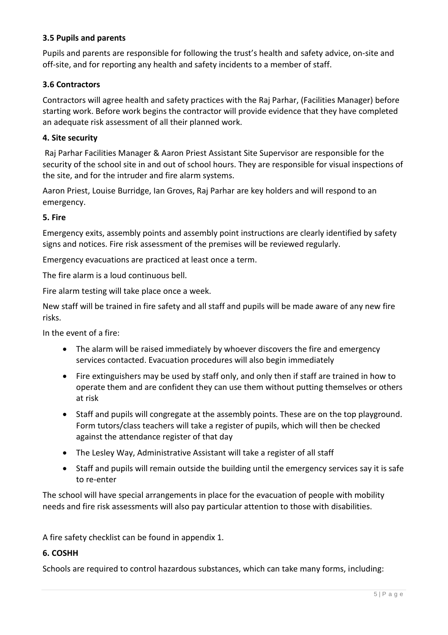## **3.5 Pupils and parents**

Pupils and parents are responsible for following the trust's health and safety advice, on-site and off-site, and for reporting any health and safety incidents to a member of staff.

## **3.6 Contractors**

Contractors will agree health and safety practices with the Raj Parhar, (Facilities Manager) before starting work. Before work begins the contractor will provide evidence that they have completed an adequate risk assessment of all their planned work.

#### <span id="page-4-0"></span>**4. Site security**

Raj Parhar Facilities Manager & Aaron Priest Assistant Site Supervisor are responsible for the security of the school site in and out of school hours. They are responsible for visual inspections of the site, and for the intruder and fire alarm systems.

Aaron Priest, Louise Burridge, Ian Groves, Raj Parhar are key holders and will respond to an emergency.

#### <span id="page-4-1"></span>**5. Fire**

Emergency exits, assembly points and assembly point instructions are clearly identified by safety signs and notices. Fire risk assessment of the premises will be reviewed regularly.

Emergency evacuations are practiced at least once a term.

The fire alarm is a loud continuous bell.

Fire alarm testing will take place once a week.

New staff will be trained in fire safety and all staff and pupils will be made aware of any new fire risks.

In the event of a fire:

- The alarm will be raised immediately by whoever discovers the fire and emergency services contacted. Evacuation procedures will also begin immediately
- Fire extinguishers may be used by staff only, and only then if staff are trained in how to operate them and are confident they can use them without putting themselves or others at risk
- Staff and pupils will congregate at the assembly points. These are on the top playground. Form tutors/class teachers will take a register of pupils, which will then be checked against the attendance register of that day
- The Lesley Way, Administrative Assistant will take a register of all staff
- Staff and pupils will remain outside the building until the emergency services say it is safe to re-enter

The school will have special arrangements in place for the evacuation of people with mobility needs and fire risk assessments will also pay particular attention to those with disabilities.

A fire safety checklist can be found in appendix 1.

#### <span id="page-4-2"></span>**6. COSHH**

Schools are required to control hazardous substances, which can take many forms, including: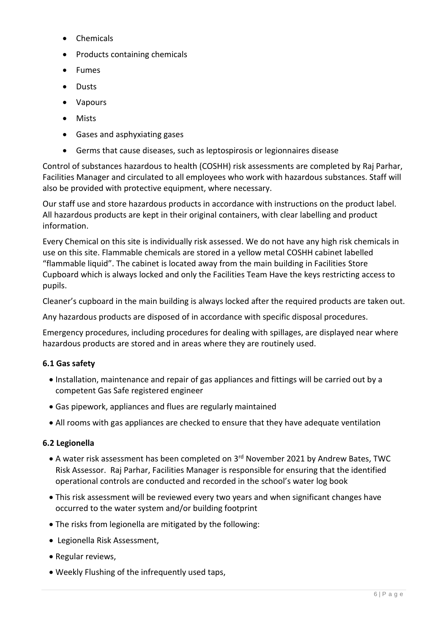- Chemicals
- Products containing chemicals
- Fumes
- Dusts
- Vapours
- Mists
- Gases and asphyxiating gases
- Germs that cause diseases, such as leptospirosis or legionnaires disease

Control of substances hazardous to health (COSHH) risk assessments are completed by Raj Parhar, Facilities Manager and circulated to all employees who work with hazardous substances. Staff will also be provided with protective equipment, where necessary.

Our staff use and store hazardous products in accordance with instructions on the product label. All hazardous products are kept in their original containers, with clear labelling and product information.

Every Chemical on this site is individually risk assessed. We do not have any high risk chemicals in use on this site. Flammable chemicals are stored in a yellow metal COSHH cabinet labelled "flammable liquid". The cabinet is located away from the main building in Facilities Store Cupboard which is always locked and only the Facilities Team Have the keys restricting access to pupils.

Cleaner's cupboard in the main building is always locked after the required products are taken out.

Any hazardous products are disposed of in accordance with specific disposal procedures.

Emergency procedures, including procedures for dealing with spillages, are displayed near where hazardous products are stored and in areas where they are routinely used.

## **6.1 Gas safety**

- Installation, maintenance and repair of gas appliances and fittings will be carried out by a competent Gas Safe registered engineer
- Gas pipework, appliances and flues are regularly maintained
- All rooms with gas appliances are checked to ensure that they have adequate ventilation

## **6.2 Legionella**

- A water risk assessment has been completed on 3<sup>rd</sup> November 2021 by Andrew Bates, TWC Risk Assessor. Raj Parhar, Facilities Manager is responsible for ensuring that the identified operational controls are conducted and recorded in the school's water log book
- This risk assessment will be reviewed every two years and when significant changes have occurred to the water system and/or building footprint
- The risks from legionella are mitigated by the following:
- Legionella Risk Assessment,
- Regular reviews,
- Weekly Flushing of the infrequently used taps,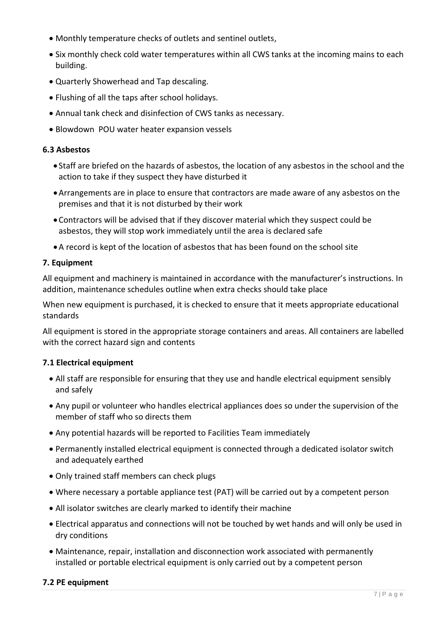- Monthly temperature checks of outlets and sentinel outlets,
- Six monthly check cold water temperatures within all CWS tanks at the incoming mains to each building.
- Quarterly Showerhead and Tap descaling.
- Flushing of all the taps after school holidays.
- Annual tank check and disinfection of CWS tanks as necessary.
- Blowdown POU water heater expansion vessels

#### **6.3 Asbestos**

- Staff are briefed on the hazards of asbestos, the location of any asbestos in the school and the action to take if they suspect they have disturbed it
- Arrangements are in place to ensure that contractors are made aware of any asbestos on the premises and that it is not disturbed by their work
- Contractors will be advised that if they discover material which they suspect could be asbestos, they will stop work immediately until the area is declared safe
- A record is kept of the location of asbestos that has been found on the school site

#### <span id="page-6-0"></span>**7. Equipment**

All equipment and machinery is maintained in accordance with the manufacturer's instructions. In addition, maintenance schedules outline when extra checks should take place

When new equipment is purchased, it is checked to ensure that it meets appropriate educational standards

All equipment is stored in the appropriate storage containers and areas. All containers are labelled with the correct hazard sign and contents

#### **7.1 Electrical equipment**

- All staff are responsible for ensuring that they use and handle electrical equipment sensibly and safely
- Any pupil or volunteer who handles electrical appliances does so under the supervision of the member of staff who so directs them
- Any potential hazards will be reported to Facilities Team immediately
- Permanently installed electrical equipment is connected through a dedicated isolator switch and adequately earthed
- Only trained staff members can check plugs
- Where necessary a portable appliance test (PAT) will be carried out by a competent person
- All isolator switches are clearly marked to identify their machine
- Electrical apparatus and connections will not be touched by wet hands and will only be used in dry conditions
- Maintenance, repair, installation and disconnection work associated with permanently installed or portable electrical equipment is only carried out by a competent person

#### **7.2 PE equipment**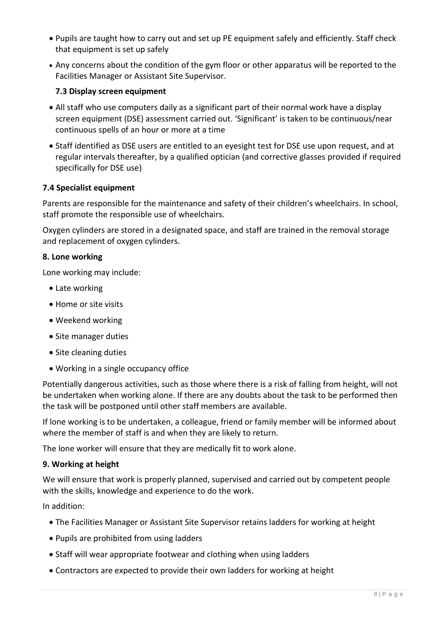- Pupils are taught how to carry out and set up PE equipment safely and efficiently. Staff check that equipment is set up safely
- Any concerns about the condition of the gym floor or other apparatus will be reported to the Facilities Manager or Assistant Site Supervisor.

## **7.3 Display screen equipment**

- All staff who use computers daily as a significant part of their normal work have a display screen equipment (DSE) assessment carried out. 'Significant' is taken to be continuous/near continuous spells of an hour or more at a time
- Staff identified as DSE users are entitled to an eyesight test for DSE use upon request, and at regular intervals thereafter, by a qualified optician (and corrective glasses provided if required specifically for DSE use)

## **7.4 Specialist equipment**

Parents are responsible for the maintenance and safety of their children's wheelchairs. In school, staff promote the responsible use of wheelchairs.

Oxygen cylinders are stored in a designated space, and staff are trained in the removal storage and replacement of oxygen cylinders.

#### <span id="page-7-0"></span>**8. Lone working**

Lone working may include:

- Late working
- Home or site visits
- Weekend working
- Site manager duties
- Site cleaning duties
- Working in a single occupancy office

Potentially dangerous activities, such as those where there is a risk of falling from height, will not be undertaken when working alone. If there are any doubts about the task to be performed then the task will be postponed until other staff members are available.

If lone working is to be undertaken, a colleague, friend or family member will be informed about where the member of staff is and when they are likely to return.

The lone worker will ensure that they are medically fit to work alone.

#### <span id="page-7-1"></span>**9. Working at height**

We will ensure that work is properly planned, supervised and carried out by competent people with the skills, knowledge and experience to do the work.

In addition:

- The Facilities Manager or Assistant Site Supervisor retains ladders for working at height
- Pupils are prohibited from using ladders
- Staff will wear appropriate footwear and clothing when using ladders
- Contractors are expected to provide their own ladders for working at height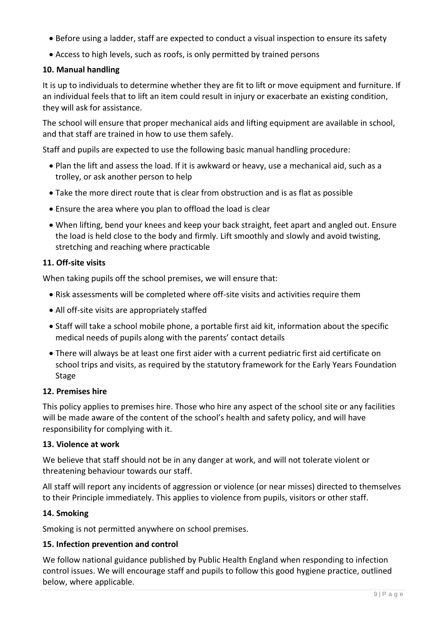- Before using a ladder, staff are expected to conduct a visual inspection to ensure its safety
- Access to high levels, such as roofs, is only permitted by trained persons

## <span id="page-8-0"></span>**10. Manual handling**

It is up to individuals to determine whether they are fit to lift or move equipment and furniture. If an individual feels that to lift an item could result in injury or exacerbate an existing condition, they will ask for assistance.

The school will ensure that proper mechanical aids and lifting equipment are available in school, and that staff are trained in how to use them safely.

Staff and pupils are expected to use the following basic manual handling procedure:

- Plan the lift and assess the load. If it is awkward or heavy, use a mechanical aid, such as a trolley, or ask another person to help
- Take the more direct route that is clear from obstruction and is as flat as possible
- Ensure the area where you plan to offload the load is clear
- When lifting, bend your knees and keep your back straight, feet apart and angled out. Ensure the load is held close to the body and firmly. Lift smoothly and slowly and avoid twisting, stretching and reaching where practicable

## <span id="page-8-1"></span>**11. Off-site visits**

When taking pupils off the school premises, we will ensure that:

- Risk assessments will be completed where off-site visits and activities require them
- All off-site visits are appropriately staffed
- Staff will take a school mobile phone, a portable first aid kit, information about the specific medical needs of pupils along with the parents' contact details
- There will always be at least one first aider with a current pediatric first aid certificate on school trips and visits, as required by the statutory framework for the Early Years Foundation Stage

## <span id="page-8-2"></span>**12. Premises hire**

This policy applies to premises hire. Those who hire any aspect of the school site or any facilities will be made aware of the content of the school's health and safety policy, and will have responsibility for complying with it.

## <span id="page-8-3"></span>**13. Violence at work**

We believe that staff should not be in any danger at work, and will not tolerate violent or threatening behaviour towards our staff.

All staff will report any incidents of aggression or violence (or near misses) directed to themselves to their Principle immediately. This applies to violence from pupils, visitors or other staff.

## <span id="page-8-4"></span>**14. Smoking**

Smoking is not permitted anywhere on school premises.

## <span id="page-8-5"></span>**15. Infection prevention and control**

We follow national guidance published by Public Health England when responding to infection control issues. We will encourage staff and pupils to follow this good hygiene practice, outlined below, where applicable.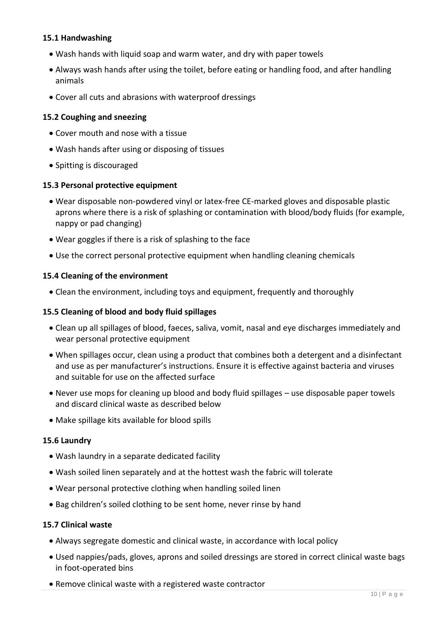## **15.1 Handwashing**

- Wash hands with liquid soap and warm water, and dry with paper towels
- Always wash hands after using the toilet, before eating or handling food, and after handling animals
- Cover all cuts and abrasions with waterproof dressings

## **15.2 Coughing and sneezing**

- Cover mouth and nose with a tissue
- Wash hands after using or disposing of tissues
- Spitting is discouraged

#### **15.3 Personal protective equipment**

- Wear disposable non-powdered vinyl or latex-free CE-marked gloves and disposable plastic aprons where there is a risk of splashing or contamination with blood/body fluids (for example, nappy or pad changing)
- Wear goggles if there is a risk of splashing to the face
- Use the correct personal protective equipment when handling cleaning chemicals

#### **15.4 Cleaning of the environment**

Clean the environment, including toys and equipment, frequently and thoroughly

#### **15.5 Cleaning of blood and body fluid spillages**

- Clean up all spillages of blood, faeces, saliva, vomit, nasal and eye discharges immediately and wear personal protective equipment
- When spillages occur, clean using a product that combines both a detergent and a disinfectant and use as per manufacturer's instructions. Ensure it is effective against bacteria and viruses and suitable for use on the affected surface
- Never use mops for cleaning up blood and body fluid spillages use disposable paper towels and discard clinical waste as described below
- Make spillage kits available for blood spills

#### **15.6 Laundry**

- Wash laundry in a separate dedicated facility
- Wash soiled linen separately and at the hottest wash the fabric will tolerate
- Wear personal protective clothing when handling soiled linen
- Bag children's soiled clothing to be sent home, never rinse by hand

#### **15.7 Clinical waste**

- Always segregate domestic and clinical waste, in accordance with local policy
- Used nappies/pads, gloves, aprons and soiled dressings are stored in correct clinical waste bags in foot-operated bins
- Remove clinical waste with a registered waste contractor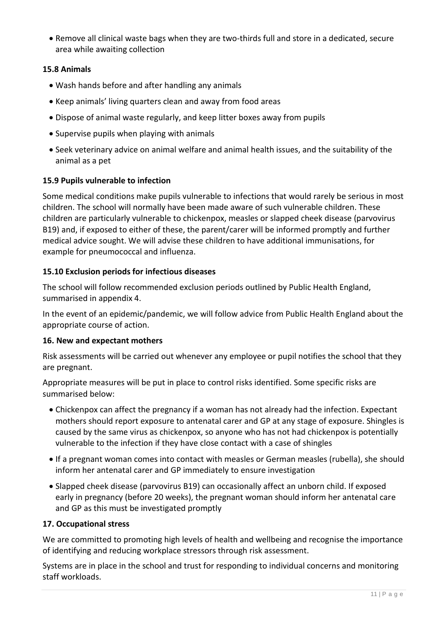Remove all clinical waste bags when they are two-thirds full and store in a dedicated, secure area while awaiting collection

## **15.8 Animals**

- Wash hands before and after handling any animals
- Keep animals' living quarters clean and away from food areas
- Dispose of animal waste regularly, and keep litter boxes away from pupils
- Supervise pupils when playing with animals
- Seek veterinary advice on animal welfare and animal health issues, and the suitability of the animal as a pet

## **15.9 Pupils vulnerable to infection**

Some medical conditions make pupils vulnerable to infections that would rarely be serious in most children. The school will normally have been made aware of such vulnerable children. These children are particularly vulnerable to chickenpox, measles or slapped cheek disease (parvovirus B19) and, if exposed to either of these, the parent/carer will be informed promptly and further medical advice sought. We will advise these children to have additional immunisations, for example for pneumococcal and influenza.

#### **15.10 Exclusion periods for infectious diseases**

The school will follow recommended exclusion periods outlined by Public Health England, summarised in appendix 4.

In the event of an epidemic/pandemic, we will follow advice from Public Health England about the appropriate course of action.

#### <span id="page-10-0"></span>**16. New and expectant mothers**

Risk assessments will be carried out whenever any employee or pupil notifies the school that they are pregnant.

Appropriate measures will be put in place to control risks identified. Some specific risks are summarised below:

- Chickenpox can affect the pregnancy if a woman has not already had the infection. Expectant mothers should report exposure to antenatal carer and GP at any stage of exposure. Shingles is caused by the same virus as chickenpox, so anyone who has not had chickenpox is potentially vulnerable to the infection if they have close contact with a case of shingles
- If a pregnant woman comes into contact with measles or German measles (rubella), she should inform her antenatal carer and GP immediately to ensure investigation
- Slapped cheek disease (parvovirus B19) can occasionally affect an unborn child. If exposed early in pregnancy (before 20 weeks), the pregnant woman should inform her antenatal care and GP as this must be investigated promptly

#### <span id="page-10-1"></span>**17. Occupational stress**

We are committed to promoting high levels of health and wellbeing and recognise the importance of identifying and reducing workplace stressors through risk assessment.

Systems are in place in the school and trust for responding to individual concerns and monitoring staff workloads.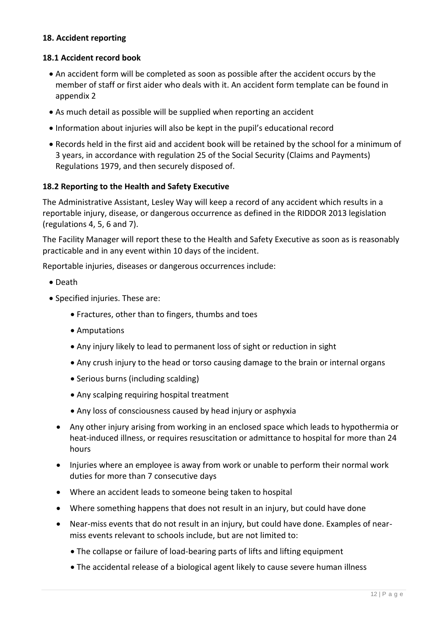## <span id="page-11-0"></span>**18. Accident reporting**

## **18.1 Accident record book**

- An accident form will be completed as soon as possible after the accident occurs by the member of staff or first aider who deals with it. An accident form template can be found in appendix 2
- As much detail as possible will be supplied when reporting an accident
- Information about injuries will also be kept in the pupil's educational record
- Records held in the first aid and accident book will be retained by the school for a minimum of 3 years, in accordance with regulation 25 of the Social Security (Claims and Payments) Regulations 1979, and then securely disposed of.

#### **18.2 Reporting to the Health and Safety Executive**

The Administrative Assistant, Lesley Way will keep a record of any accident which results in a reportable injury, disease, or dangerous occurrence as defined in the RIDDOR 2013 legislation (regulations 4, 5, 6 and 7).

The Facility Manager will report these to the Health and Safety Executive as soon as is reasonably practicable and in any event within 10 days of the incident.

Reportable injuries, diseases or dangerous occurrences include:

- Death
- Specified injuries. These are:
	- Fractures, other than to fingers, thumbs and toes
	- Amputations
	- Any injury likely to lead to permanent loss of sight or reduction in sight
	- Any crush injury to the head or torso causing damage to the brain or internal organs
	- Serious burns (including scalding)
	- Any scalping requiring hospital treatment
	- Any loss of consciousness caused by head injury or asphyxia
	- Any other injury arising from working in an enclosed space which leads to hypothermia or heat-induced illness, or requires resuscitation or admittance to hospital for more than 24 hours
	- Injuries where an employee is away from work or unable to perform their normal work duties for more than 7 consecutive days
	- Where an accident leads to someone being taken to hospital
	- Where something happens that does not result in an injury, but could have done
	- Near-miss events that do not result in an injury, but could have done. Examples of nearmiss events relevant to schools include, but are not limited to:
		- The collapse or failure of load-bearing parts of lifts and lifting equipment
		- The accidental release of a biological agent likely to cause severe human illness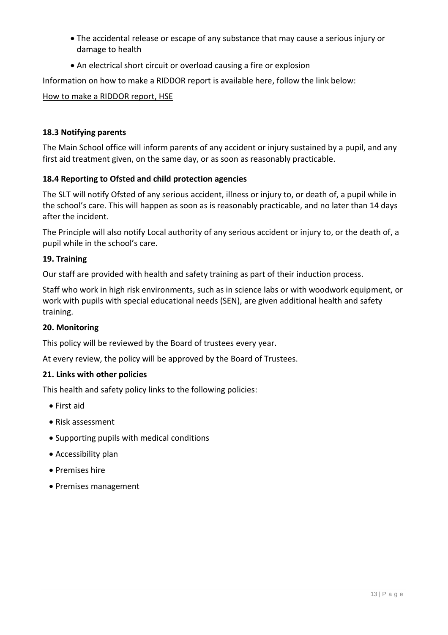- The accidental release or escape of any substance that may cause a serious injury or damage to health
- An electrical short circuit or overload causing a fire or explosion

Information on how to make a RIDDOR report is available here, follow the link below:

#### [How to make a RIDDOR report, HSE](http://www.hse.gov.uk/riddor/report.htm)

## **18.3 Notifying parents**

The Main School office will inform parents of any accident or injury sustained by a pupil, and any first aid treatment given, on the same day, or as soon as reasonably practicable.

## **18.4 Reporting to Ofsted and child protection agencies**

The SLT will notify Ofsted of any serious accident, illness or injury to, or death of, a pupil while in the school's care. This will happen as soon as is reasonably practicable, and no later than 14 days after the incident.

The Principle will also notify Local authority of any serious accident or injury to, or the death of, a pupil while in the school's care.

## <span id="page-12-0"></span>**19. Training**

Our staff are provided with health and safety training as part of their induction process.

Staff who work in high risk environments, such as in science labs or with woodwork equipment, or work with pupils with special educational needs (SEN), are given additional health and safety training.

#### <span id="page-12-1"></span>**20. Monitoring**

This policy will be reviewed by the Board of trustees every year.

At every review, the policy will be approved by the Board of Trustees.

#### <span id="page-12-2"></span>**21. Links with other policies**

This health and safety policy links to the following policies:

- First aid
- Risk assessment
- Supporting pupils with medical conditions
- Accessibility plan
- Premises hire
- Premises management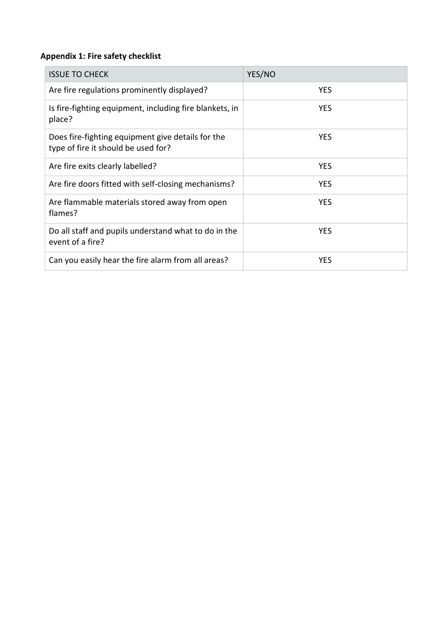## <span id="page-13-0"></span>**Appendix 1: Fire safety checklist**

| <b>ISSUE TO CHECK</b>                                                                    | YES/NO     |
|------------------------------------------------------------------------------------------|------------|
| Are fire regulations prominently displayed?                                              | <b>YES</b> |
| Is fire-fighting equipment, including fire blankets, in<br>place?                        | <b>YES</b> |
| Does fire-fighting equipment give details for the<br>type of fire it should be used for? | <b>YES</b> |
| Are fire exits clearly labelled?                                                         | <b>YES</b> |
| Are fire doors fitted with self-closing mechanisms?                                      | <b>YES</b> |
| Are flammable materials stored away from open<br>flames?                                 | <b>YES</b> |
| Do all staff and pupils understand what to do in the<br>event of a fire?                 | <b>YES</b> |
| Can you easily hear the fire alarm from all areas?                                       | <b>YES</b> |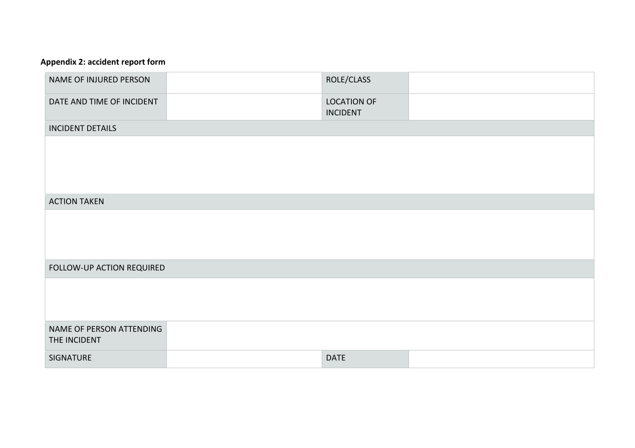## **Appendix 2: accident report form**

<span id="page-14-0"></span>

| NAME OF INJURED PERSON                   | ROLE/CLASS                            |  |
|------------------------------------------|---------------------------------------|--|
| DATE AND TIME OF INCIDENT                | <b>LOCATION OF</b><br><b>INCIDENT</b> |  |
| <b>INCIDENT DETAILS</b>                  |                                       |  |
|                                          |                                       |  |
|                                          |                                       |  |
|                                          |                                       |  |
| <b>ACTION TAKEN</b>                      |                                       |  |
|                                          |                                       |  |
|                                          |                                       |  |
|                                          |                                       |  |
|                                          |                                       |  |
| FOLLOW-UP ACTION REQUIRED                |                                       |  |
|                                          |                                       |  |
|                                          |                                       |  |
|                                          |                                       |  |
| NAME OF PERSON ATTENDING<br>THE INCIDENT |                                       |  |
| SIGNATURE                                | <b>DATE</b>                           |  |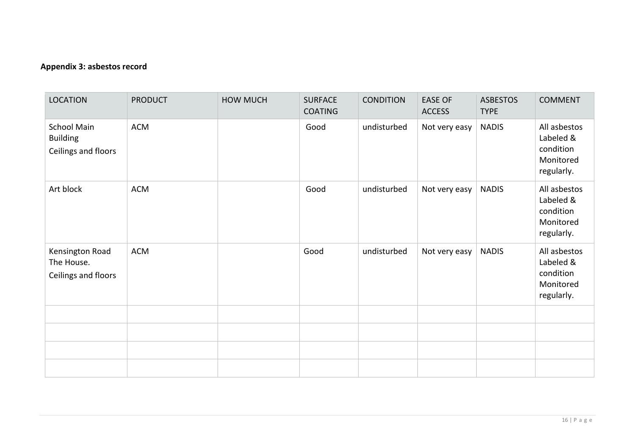## **Appendix 3: asbestos record**

<span id="page-15-0"></span>

| <b>LOCATION</b>                                              | <b>PRODUCT</b> | <b>HOW MUCH</b> | <b>SURFACE</b><br><b>COATING</b> | <b>CONDITION</b> | <b>EASE OF</b><br><b>ACCESS</b> | <b>ASBESTOS</b><br><b>TYPE</b> | <b>COMMENT</b>                                                    |
|--------------------------------------------------------------|----------------|-----------------|----------------------------------|------------------|---------------------------------|--------------------------------|-------------------------------------------------------------------|
| <b>School Main</b><br><b>Building</b><br>Ceilings and floors | <b>ACM</b>     |                 | Good                             | undisturbed      | Not very easy                   | <b>NADIS</b>                   | All asbestos<br>Labeled &<br>condition<br>Monitored<br>regularly. |
| Art block                                                    | <b>ACM</b>     |                 | Good                             | undisturbed      | Not very easy                   | <b>NADIS</b>                   | All asbestos<br>Labeled &<br>condition<br>Monitored<br>regularly. |
| Kensington Road<br>The House.<br>Ceilings and floors         | <b>ACM</b>     |                 | Good                             | undisturbed      | Not very easy                   | <b>NADIS</b>                   | All asbestos<br>Labeled &<br>condition<br>Monitored<br>regularly. |
|                                                              |                |                 |                                  |                  |                                 |                                |                                                                   |
|                                                              |                |                 |                                  |                  |                                 |                                |                                                                   |
|                                                              |                |                 |                                  |                  |                                 |                                |                                                                   |
|                                                              |                |                 |                                  |                  |                                 |                                |                                                                   |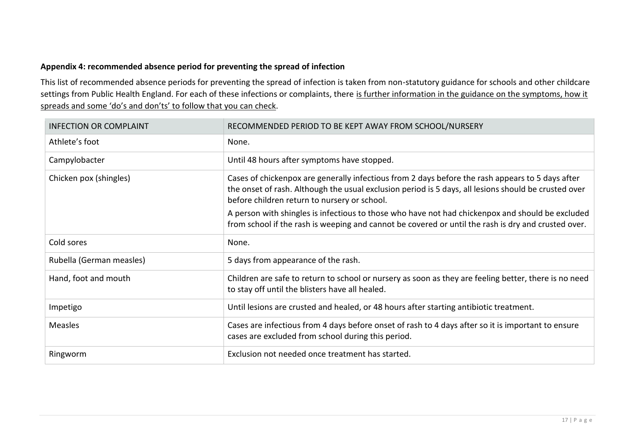## **Appendix 4: recommended absence period for preventing the spread of infection**

This list of recommended absence periods for preventing the spread of infection is taken from non-statutory guidance for schools and other childcare settings from Public Health England. For each of these infections or complaints, there is further information in the guidance on the symptoms, how it [spreads and some 'do's and don'ts' to follow t](https://www.gov.uk/government/publications/health-protection-in-schools-and-other-childcare-facilities/chapter-9-managing-specific-infectious-diseases)hat you can check.

<span id="page-16-0"></span>

| <b>INFECTION OR COMPLAINT</b> | RECOMMENDED PERIOD TO BE KEPT AWAY FROM SCHOOL/NURSERY                                                                                                                                                                                                   |
|-------------------------------|----------------------------------------------------------------------------------------------------------------------------------------------------------------------------------------------------------------------------------------------------------|
| Athlete's foot                | None.                                                                                                                                                                                                                                                    |
| Campylobacter                 | Until 48 hours after symptoms have stopped.                                                                                                                                                                                                              |
| Chicken pox (shingles)        | Cases of chickenpox are generally infectious from 2 days before the rash appears to 5 days after<br>the onset of rash. Although the usual exclusion period is 5 days, all lesions should be crusted over<br>before children return to nursery or school. |
|                               | A person with shingles is infectious to those who have not had chickenpox and should be excluded<br>from school if the rash is weeping and cannot be covered or until the rash is dry and crusted over.                                                  |
| Cold sores                    | None.                                                                                                                                                                                                                                                    |
| Rubella (German measles)      | 5 days from appearance of the rash.                                                                                                                                                                                                                      |
| Hand, foot and mouth          | Children are safe to return to school or nursery as soon as they are feeling better, there is no need<br>to stay off until the blisters have all healed.                                                                                                 |
| Impetigo                      | Until lesions are crusted and healed, or 48 hours after starting antibiotic treatment.                                                                                                                                                                   |
| Measles                       | Cases are infectious from 4 days before onset of rash to 4 days after so it is important to ensure<br>cases are excluded from school during this period.                                                                                                 |
| Ringworm                      | Exclusion not needed once treatment has started.                                                                                                                                                                                                         |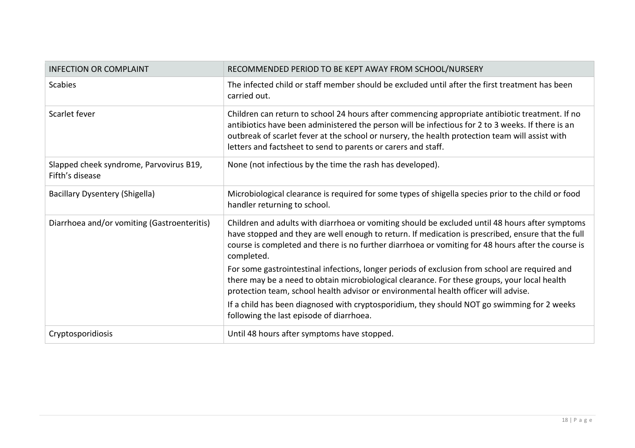| <b>INFECTION OR COMPLAINT</b>                              | RECOMMENDED PERIOD TO BE KEPT AWAY FROM SCHOOL/NURSERY                                                                                                                                                                                                                                                                                                                   |
|------------------------------------------------------------|--------------------------------------------------------------------------------------------------------------------------------------------------------------------------------------------------------------------------------------------------------------------------------------------------------------------------------------------------------------------------|
| Scabies                                                    | The infected child or staff member should be excluded until after the first treatment has been<br>carried out.                                                                                                                                                                                                                                                           |
| Scarlet fever                                              | Children can return to school 24 hours after commencing appropriate antibiotic treatment. If no<br>antibiotics have been administered the person will be infectious for 2 to 3 weeks. If there is an<br>outbreak of scarlet fever at the school or nursery, the health protection team will assist with<br>letters and factsheet to send to parents or carers and staff. |
| Slapped cheek syndrome, Parvovirus B19,<br>Fifth's disease | None (not infectious by the time the rash has developed).                                                                                                                                                                                                                                                                                                                |
| <b>Bacillary Dysentery (Shigella)</b>                      | Microbiological clearance is required for some types of shigella species prior to the child or food<br>handler returning to school.                                                                                                                                                                                                                                      |
| Diarrhoea and/or vomiting (Gastroenteritis)                | Children and adults with diarrhoea or vomiting should be excluded until 48 hours after symptoms<br>have stopped and they are well enough to return. If medication is prescribed, ensure that the full<br>course is completed and there is no further diarrhoea or vomiting for 48 hours after the course is<br>completed.                                                |
|                                                            | For some gastrointestinal infections, longer periods of exclusion from school are required and<br>there may be a need to obtain microbiological clearance. For these groups, your local health<br>protection team, school health advisor or environmental health officer will advise.                                                                                    |
|                                                            | If a child has been diagnosed with cryptosporidium, they should NOT go swimming for 2 weeks<br>following the last episode of diarrhoea.                                                                                                                                                                                                                                  |
| Cryptosporidiosis                                          | Until 48 hours after symptoms have stopped.                                                                                                                                                                                                                                                                                                                              |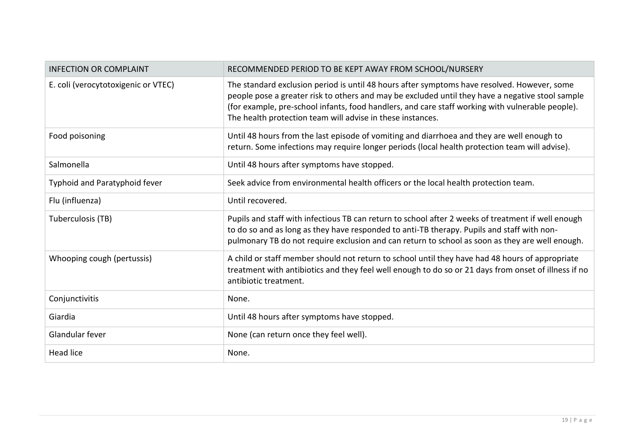| <b>INFECTION OR COMPLAINT</b>       | RECOMMENDED PERIOD TO BE KEPT AWAY FROM SCHOOL/NURSERY                                                                                                                                                                                                                                                                                                            |
|-------------------------------------|-------------------------------------------------------------------------------------------------------------------------------------------------------------------------------------------------------------------------------------------------------------------------------------------------------------------------------------------------------------------|
| E. coli (verocytotoxigenic or VTEC) | The standard exclusion period is until 48 hours after symptoms have resolved. However, some<br>people pose a greater risk to others and may be excluded until they have a negative stool sample<br>(for example, pre-school infants, food handlers, and care staff working with vulnerable people).<br>The health protection team will advise in these instances. |
| Food poisoning                      | Until 48 hours from the last episode of vomiting and diarrhoea and they are well enough to<br>return. Some infections may require longer periods (local health protection team will advise).                                                                                                                                                                      |
| Salmonella                          | Until 48 hours after symptoms have stopped.                                                                                                                                                                                                                                                                                                                       |
| Typhoid and Paratyphoid fever       | Seek advice from environmental health officers or the local health protection team.                                                                                                                                                                                                                                                                               |
| Flu (influenza)                     | Until recovered.                                                                                                                                                                                                                                                                                                                                                  |
| Tuberculosis (TB)                   | Pupils and staff with infectious TB can return to school after 2 weeks of treatment if well enough<br>to do so and as long as they have responded to anti-TB therapy. Pupils and staff with non-<br>pulmonary TB do not require exclusion and can return to school as soon as they are well enough.                                                               |
| Whooping cough (pertussis)          | A child or staff member should not return to school until they have had 48 hours of appropriate<br>treatment with antibiotics and they feel well enough to do so or 21 days from onset of illness if no<br>antibiotic treatment.                                                                                                                                  |
| Conjunctivitis                      | None.                                                                                                                                                                                                                                                                                                                                                             |
| Giardia                             | Until 48 hours after symptoms have stopped.                                                                                                                                                                                                                                                                                                                       |
| Glandular fever                     | None (can return once they feel well).                                                                                                                                                                                                                                                                                                                            |
| <b>Head lice</b>                    | None.                                                                                                                                                                                                                                                                                                                                                             |